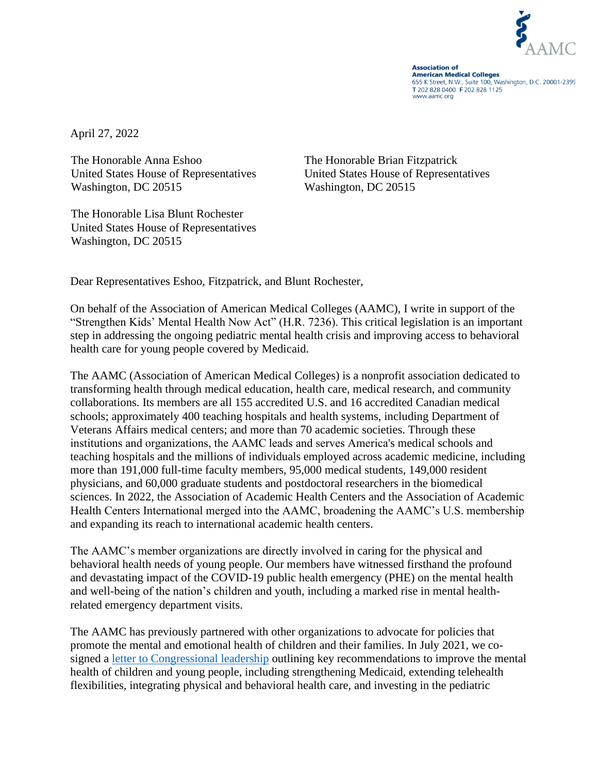

**Association of American Medical Colleges** 655 K Street, N.W., Suite 100, Washington, D.C. 20001-2399 T 202 828 0400 F 202 828 1125 www.aamc.org

April 27, 2022

The Honorable Anna Eshoo The Honorable Brian Fitzpatrick Washington, DC 20515

The Honorable Lisa Blunt Rochester United States House of Representatives Washington, DC 20515

United States House of Representatives United States House of Representatives Washington, DC 20515

Dear Representatives Eshoo, Fitzpatrick, and Blunt Rochester,

On behalf of the Association of American Medical Colleges (AAMC), I write in support of the "Strengthen Kids' Mental Health Now Act" (H.R. 7236). This critical legislation is an important step in addressing the ongoing pediatric mental health crisis and improving access to behavioral health care for young people covered by Medicaid.

The AAMC (Association of American Medical Colleges) is a nonprofit association dedicated to transforming health through medical education, health care, medical research, and community collaborations. Its members are all 155 accredited U.S. and 16 accredited Canadian medical schools; approximately 400 teaching hospitals and health systems, including Department of Veterans Affairs medical centers; and more than 70 academic societies. Through these institutions and organizations, the AAMC leads and serves America's medical schools and teaching hospitals and the millions of individuals employed across academic medicine, including more than 191,000 full-time faculty members, 95,000 medical students, 149,000 resident physicians, and 60,000 graduate students and postdoctoral researchers in the biomedical sciences. In 2022, the Association of Academic Health Centers and the Association of Academic Health Centers International merged into the AAMC, broadening the AAMC's U.S. membership and expanding its reach to international academic health centers.

The AAMC's member organizations are directly involved in caring for the physical and behavioral health needs of young people. Our members have witnessed firsthand the profound and devastating impact of the COVID-19 public health emergency (PHE) on the mental health and well-being of the nation's children and youth, including a marked rise in mental healthrelated emergency department visits.

The AAMC has previously partnered with other organizations to advocate for policies that promote the mental and emotional health of children and their families. In July 2021, we cosigned a [letter to Congressional leadership](https://www.aamc.org/media/55726/download?attachment) outlining key recommendations to improve the mental health of children and young people, including strengthening Medicaid, extending telehealth flexibilities, integrating physical and behavioral health care, and investing in the pediatric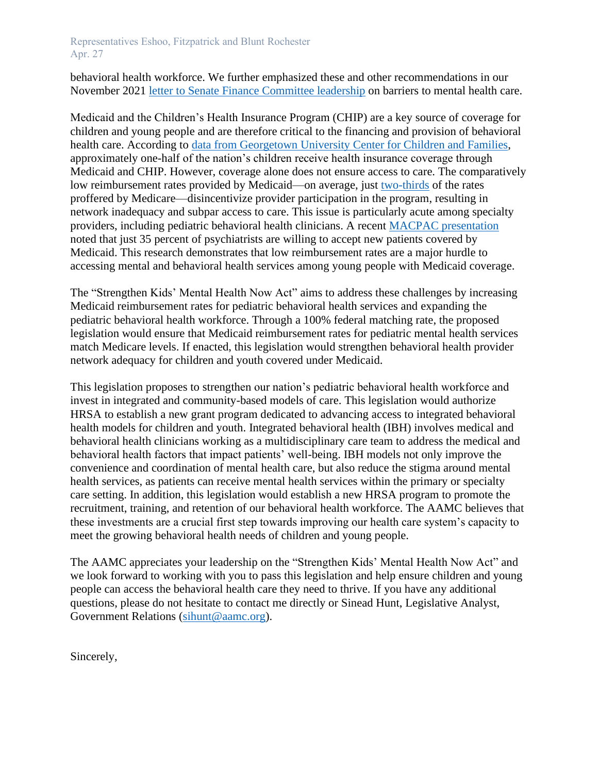Representatives Eshoo, Fitzpatrick and Blunt Rochester Apr. 27

behavioral health workforce. We further emphasized these and other recommendations in our November 2021 [letter to Senate Finance Committee leadership](https://www.aamc.org/media/57666/download?attachment) on barriers to mental health care.

Medicaid and the Children's Health Insurance Program (CHIP) are a key source of coverage for children and young people and are therefore critical to the financing and provision of behavioral health care. According to [data from Georgetown University Center for Children and Families,](https://ccf.georgetown.edu/2022/02/17/millions-of-children-may-lose-medicaid-what-can-be-done-to-help-prevent-them-from-becoming-uninsured/) approximately one-half of the nation's children receive health insurance coverage through Medicaid and CHIP. However, coverage alone does not ensure access to care. The comparatively low reimbursement rates provided by Medicaid—on average, just [two-thirds](https://www.macpac.gov/wp-content/uploads/2013/06/Medicaid-Primary-Care-Physician-Payment-Increase.pdf) of the rates proffered by Medicare—disincentivize provider participation in the program, resulting in network inadequacy and subpar access to care. This issue is particularly acute among specialty providers, including pediatric behavioral health clinicians. A recent [MACPAC presentation](https://www.macpac.gov/wp-content/uploads/2019/01/Physician-Acceptance-of-New-Medicaid-Patients.pdf) noted that just 35 percent of psychiatrists are willing to accept new patients covered by Medicaid. This research demonstrates that low reimbursement rates are a major hurdle to accessing mental and behavioral health services among young people with Medicaid coverage.

The "Strengthen Kids' Mental Health Now Act" aims to address these challenges by increasing Medicaid reimbursement rates for pediatric behavioral health services and expanding the pediatric behavioral health workforce. Through a 100% federal matching rate, the proposed legislation would ensure that Medicaid reimbursement rates for pediatric mental health services match Medicare levels. If enacted, this legislation would strengthen behavioral health provider network adequacy for children and youth covered under Medicaid.

This legislation proposes to strengthen our nation's pediatric behavioral health workforce and invest in integrated and community-based models of care. This legislation would authorize HRSA to establish a new grant program dedicated to advancing access to integrated behavioral health models for children and youth. Integrated behavioral health (IBH) involves medical and behavioral health clinicians working as a multidisciplinary care team to address the medical and behavioral health factors that impact patients' well-being. IBH models not only improve the convenience and coordination of mental health care, but also reduce the stigma around mental health services, as patients can receive mental health services within the primary or specialty care setting. In addition, this legislation would establish a new HRSA program to promote the recruitment, training, and retention of our behavioral health workforce. The AAMC believes that these investments are a crucial first step towards improving our health care system's capacity to meet the growing behavioral health needs of children and young people.

The AAMC appreciates your leadership on the "Strengthen Kids' Mental Health Now Act" and we look forward to working with you to pass this legislation and help ensure children and young people can access the behavioral health care they need to thrive. If you have any additional questions, please do not hesitate to contact me directly or Sinead Hunt, Legislative Analyst, Government Relations [\(sihunt@aamc.org\)](mailto:sihunt@aamc.org).

Sincerely,